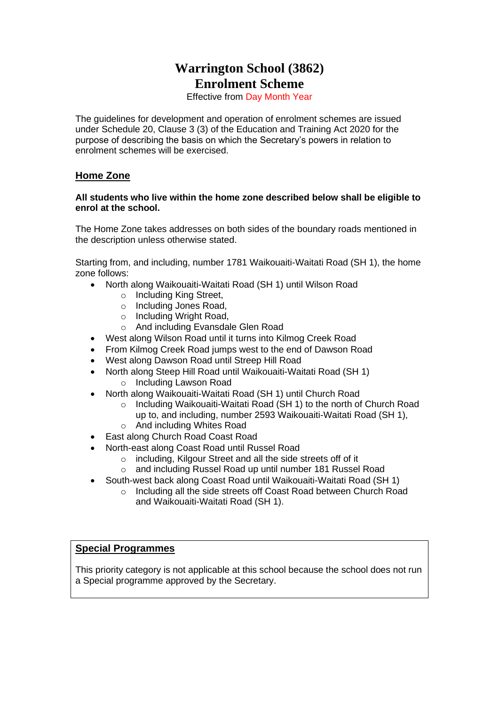# **Warrington School (3862) Enrolment Scheme**

Effective from Day Month Year

The guidelines for development and operation of enrolment schemes are issued under Schedule 20, Clause 3 (3) of the Education and Training Act 2020 for the purpose of describing the basis on which the Secretary's powers in relation to enrolment schemes will be exercised.

## **Home Zone**

#### **All students who live within the home zone described below shall be eligible to enrol at the school.**

The Home Zone takes addresses on both sides of the boundary roads mentioned in the description unless otherwise stated.

Starting from, and including, number 1781 Waikouaiti-Waitati Road (SH 1), the home zone follows:

- North along Waikouaiti-Waitati Road (SH 1) until Wilson Road
	- o Including King Street,
	- o Including Jones Road,
	- o Including Wright Road,
	- o And including Evansdale Glen Road
- West along Wilson Road until it turns into Kilmog Creek Road
- From Kilmog Creek Road jumps west to the end of Dawson Road
- West along Dawson Road until Streep Hill Road
- North along Steep Hill Road until Waikouaiti-Waitati Road (SH 1) o Including Lawson Road
- North along Waikouaiti-Waitati Road (SH 1) until Church Road
	- o Including Waikouaiti-Waitati Road (SH 1) to the north of Church Road up to, and including, number 2593 Waikouaiti-Waitati Road (SH 1),
	- o And including Whites Road
- East along Church Road Coast Road
- North-east along Coast Road until Russel Road
	- o including, Kilgour Street and all the side streets off of it
	- o and including Russel Road up until number 181 Russel Road
- South-west back along Coast Road until Waikouaiti-Waitati Road (SH 1)
	- o Including all the side streets off Coast Road between Church Road and Waikouaiti-Waitati Road (SH 1).

### **Special Programmes**

This priority category is not applicable at this school because the school does not run a Special programme approved by the Secretary.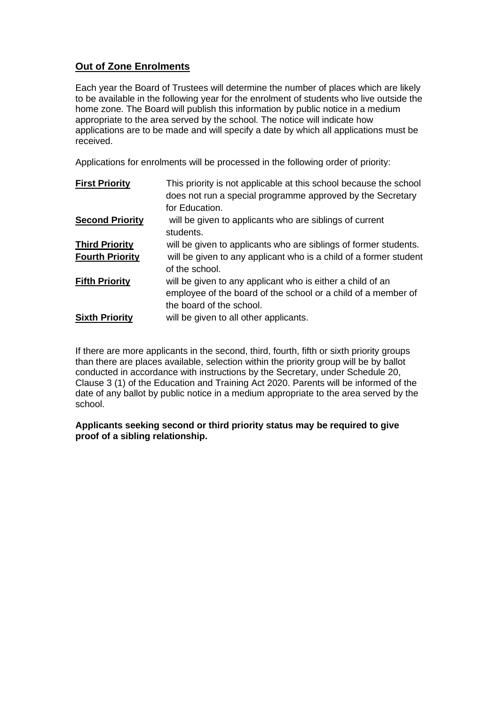## **Out of Zone Enrolments**

Each year the Board of Trustees will determine the number of places which are likely to be available in the following year for the enrolment of students who live outside the home zone. The Board will publish this information by public notice in a medium appropriate to the area served by the school. The notice will indicate how applications are to be made and will specify a date by which all applications must be received.

Applications for enrolments will be processed in the following order of priority:

| <b>First Priority</b>  | This priority is not applicable at this school because the school |
|------------------------|-------------------------------------------------------------------|
|                        | does not run a special programme approved by the Secretary        |
|                        | for Education.                                                    |
| <b>Second Priority</b> | will be given to applicants who are siblings of current           |
|                        | students.                                                         |
| <b>Third Priority</b>  | will be given to applicants who are siblings of former students.  |
| <b>Fourth Priority</b> | will be given to any applicant who is a child of a former student |
|                        | of the school.                                                    |
| <b>Fifth Priority</b>  | will be given to any applicant who is either a child of an        |
|                        | employee of the board of the school or a child of a member of     |
|                        | the board of the school.                                          |
| <b>Sixth Priority</b>  | will be given to all other applicants.                            |

If there are more applicants in the second, third, fourth, fifth or sixth priority groups than there are places available, selection within the priority group will be by ballot conducted in accordance with instructions by the Secretary, under Schedule 20, Clause 3 (1) of the Education and Training Act 2020. Parents will be informed of the date of any ballot by public notice in a medium appropriate to the area served by the school.

### **Applicants seeking second or third priority status may be required to give proof of a sibling relationship.**